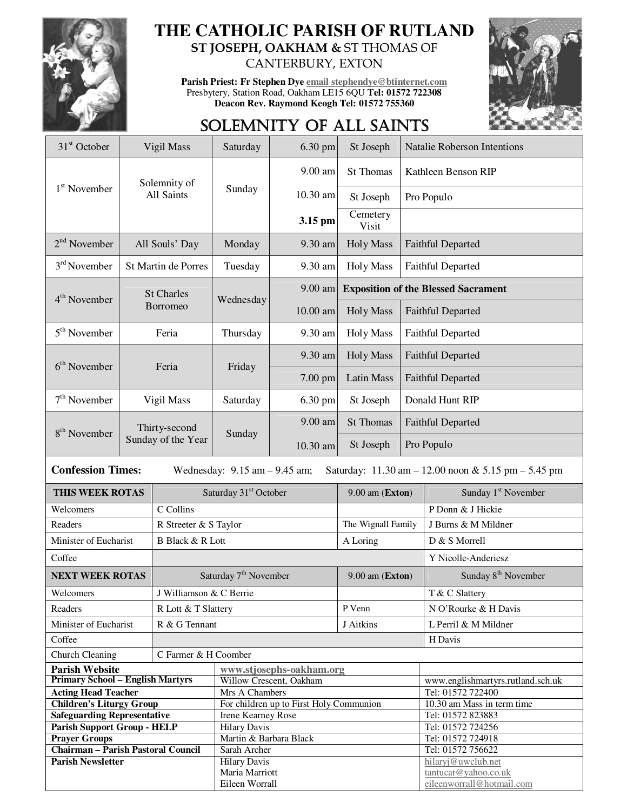

### **THE CATHOLIC PARISH OF RUTLAND ST JOSEPH, OAKHAM &** ST THOMAS OF CANTERBURY, EXTON

**Parish Priest: Fr Stephen Dye email stephendye@btinternet.com** Presbytery, Station Road, Oakham LE15 6QU **Tel: 01572 722308 Deacon Rev. Raymond Keogh Tel: 01572 755360** 



## SOLEMNITY OF ALL SAINTS

| 31 <sup>st</sup> October                                                                                             | Vigil Mass                          |                                   | Saturday                                | 6.30 pm    | St Joseph<br><b>Natalie Roberson Intentions</b> |                                            |                                         |  |
|----------------------------------------------------------------------------------------------------------------------|-------------------------------------|-----------------------------------|-----------------------------------------|------------|-------------------------------------------------|--------------------------------------------|-----------------------------------------|--|
|                                                                                                                      | Solemnity of                        |                                   |                                         | 9.00 am    | St Thomas                                       | Kathleen Benson RIP                        |                                         |  |
| $1st$ November                                                                                                       |                                     | All Saints                        | Sunday                                  | 10.30 am   | St Joseph                                       |                                            | Pro Populo                              |  |
|                                                                                                                      |                                     |                                   |                                         | 3.15 pm    | Cemetery<br>Visit                               |                                            |                                         |  |
| $2nd$ November                                                                                                       | All Souls' Day                      |                                   | Monday                                  | 9.30 am    | <b>Holy Mass</b>                                | <b>Faithful Departed</b>                   |                                         |  |
| $3rd$ November                                                                                                       | St Martin de Porres                 |                                   | Tuesday                                 | 9.30 am    | <b>Holy Mass</b>                                | Faithful Departed                          |                                         |  |
| 4 <sup>th</sup> November                                                                                             |                                     | <b>St Charles</b>                 | Wednesday                               | 9.00 am    |                                                 | <b>Exposition of the Blessed Sacrament</b> |                                         |  |
|                                                                                                                      |                                     | Borromeo                          |                                         | $10.00$ am | <b>Holy Mass</b>                                | <b>Faithful Departed</b>                   |                                         |  |
| $5th$ November                                                                                                       | Feria                               |                                   | Thursday                                | 9.30 am    | <b>Holy Mass</b>                                | Faithful Departed                          |                                         |  |
| $6th$ November                                                                                                       | Feria                               |                                   | Friday                                  | 9.30 am    | Holy Mass                                       | <b>Faithful Departed</b>                   |                                         |  |
|                                                                                                                      |                                     |                                   |                                         | 7.00 pm    | <b>Latin Mass</b>                               | <b>Faithful Departed</b>                   |                                         |  |
| $7th$ November                                                                                                       | Vigil Mass                          |                                   | Saturday                                | 6.30 pm    | St Joseph                                       | Donald Hunt RIP                            |                                         |  |
| 8 <sup>th</sup> November                                                                                             | Thirty-second<br>Sunday of the Year |                                   | Sunday                                  | 9.00 am    | St Thomas                                       | <b>Faithful Departed</b>                   |                                         |  |
|                                                                                                                      |                                     |                                   |                                         | 10.30 am   | St Joseph                                       | Pro Populo                                 |                                         |  |
| <b>Confession Times:</b><br>Wednesday: $9.15$ am $- 9.45$ am;<br>Saturday: 11.30 am - 12.00 noon & 5.15 pm - 5.45 pm |                                     |                                   |                                         |            |                                                 |                                            |                                         |  |
| THIS WEEK ROTAS                                                                                                      |                                     | Saturday 31 <sup>st</sup> October |                                         |            | 9.00 am (Exton)                                 |                                            | Sunday 1 <sup>st</sup> November         |  |
| Welcomers                                                                                                            |                                     | C Collins                         |                                         |            |                                                 |                                            | P Donn & J Hickie                       |  |
| Readers                                                                                                              |                                     | R Streeter & S Taylor             |                                         |            | The Wignall Family                              |                                            | J Burns & M Mildner                     |  |
| Minister of Eucharist                                                                                                |                                     | <b>B</b> Black & R Lott           |                                         |            | A Loring                                        |                                            | D & S Morrell                           |  |
| Coffee                                                                                                               |                                     |                                   |                                         |            |                                                 |                                            | Y Nicolle-Anderiesz                     |  |
|                                                                                                                      | <b>NEXT WEEK ROTAS</b>              |                                   | Saturday 7 <sup>th</sup> November       |            |                                                 | $9.00$ am (Exton)                          | Sunday 8 <sup>th</sup> November         |  |
| Welcomers                                                                                                            |                                     | J Williamson & C Berrie           |                                         |            |                                                 |                                            | T & C Slattery                          |  |
| Readers                                                                                                              |                                     | R Lott & T Slattery               |                                         |            | P Venn                                          |                                            | N O'Rourke & H Davis                    |  |
| Minister of Eucharist                                                                                                |                                     | R & G Tennant                     |                                         |            | J Aitkins                                       |                                            | L Perril & M Mildner                    |  |
| Coffee                                                                                                               |                                     |                                   |                                         |            |                                                 | H Davis                                    |                                         |  |
| Church Cleaning<br>C Farmer & H Coomber                                                                              |                                     |                                   |                                         |            |                                                 |                                            |                                         |  |
| <b>Parish Website</b><br>www.stjosephs-oakham.org                                                                    |                                     |                                   |                                         |            |                                                 |                                            |                                         |  |
| <b>Primary School - English Martyrs</b>                                                                              |                                     |                                   | Willow Crescent, Oakham                 |            |                                                 |                                            | www.englishmartyrs.rutland.sch.uk       |  |
| <b>Acting Head Teacher</b>                                                                                           |                                     |                                   | Mrs A Chambers                          |            |                                                 |                                            | Tel: 01572 722400                       |  |
| <b>Children's Liturgy Group</b>                                                                                      |                                     |                                   | For children up to First Holy Communion |            |                                                 |                                            | 10.30 am Mass in term time              |  |
| <b>Safeguarding Representative</b>                                                                                   |                                     |                                   | Irene Kearney Rose                      |            |                                                 |                                            | Tel: 01572 823883                       |  |
| <b>Parish Support Group - HELP</b>                                                                                   |                                     |                                   | <b>Hilary Davis</b>                     |            |                                                 |                                            | Tel: 01572 724256                       |  |
| <b>Prayer Groups</b>                                                                                                 |                                     |                                   | Martin & Barbara Black                  |            |                                                 |                                            | Tel: 01572 724918                       |  |
| <b>Chairman - Parish Pastoral Council</b><br><b>Parish Newsletter</b>                                                |                                     |                                   | Sarah Archer                            |            |                                                 |                                            | Tel: 01572 756622<br>hilaryj@uwclub.net |  |
|                                                                                                                      |                                     |                                   | <b>Hilary Davis</b><br>Maria Marriott   |            |                                                 |                                            | tantucat@yahoo.co.uk                    |  |
|                                                                                                                      |                                     |                                   | Eileen Worrall                          |            |                                                 |                                            | eileenworrall@hotmail.com               |  |